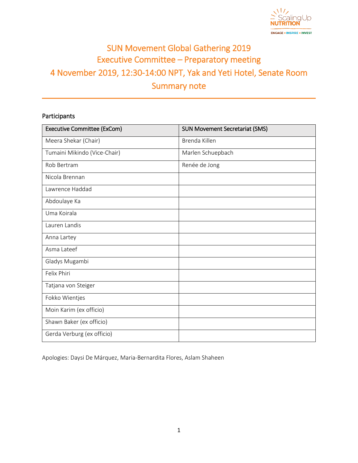

# SUN Movement Global Gathering 2019 Executive Committee – Preparatory meeting 4 November 2019, 12:30-14:00 NPT, Yak and Yeti Hotel, Senate Room Summary note

# Participants

| <b>Executive Committee (ExCom)</b> | <b>SUN Movement Secretariat (SMS)</b> |
|------------------------------------|---------------------------------------|
| Meera Shekar (Chair)               | Brenda Killen                         |
| Tumaini Mikindo (Vice-Chair)       | Marlen Schuepbach                     |
| Rob Bertram                        | Renée de Jong                         |
| Nicola Brennan                     |                                       |
| Lawrence Haddad                    |                                       |
| Abdoulaye Ka                       |                                       |
| Uma Koirala                        |                                       |
| Lauren Landis                      |                                       |
| Anna Lartey                        |                                       |
| Asma Lateef                        |                                       |
| Gladys Mugambi                     |                                       |
| Felix Phiri                        |                                       |
| Tatjana von Steiger                |                                       |
| Fokko Wientjes                     |                                       |
| Moin Karim (ex officio)            |                                       |
| Shawn Baker (ex officio)           |                                       |
| Gerda Verburg (ex officio)         |                                       |

Apologies: Daysi De Márquez, Maria-Bernardita Flores, Aslam Shaheen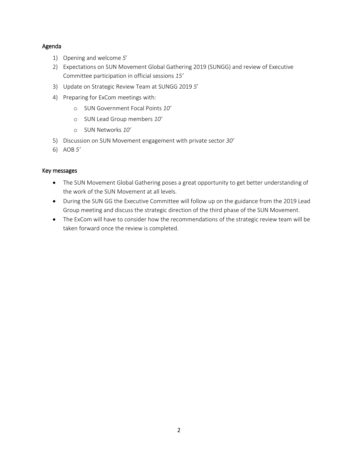## Agenda

- 1) Opening and welcome *5*'
- 2) Expectations on SUN Movement Global Gathering 2019 (SUNGG) and review of Executive Committee participation in official sessions *15'*
- 3) Update on Strategic Review Team at SUNGG 2019 *5*'
- 4) Preparing for ExCom meetings with:
	- o SUN Government Focal Points *10'*
	- o SUN Lead Group members *10'*
	- o SUN Networks *10'*
- 5) Discussion on SUN Movement engagement with private sector *30'*
- 6) AOB *5'*

## Key messages

- The SUN Movement Global Gathering poses a great opportunity to get better understanding of the work of the SUN Movement at all levels.
- During the SUN GG the Executive Committee will follow up on the guidance from the 2019 Lead Group meeting and discuss the strategic direction of the third phase of the SUN Movement.
- The ExCom will have to consider how the recommendations of the strategic review team will be taken forward once the review is completed.